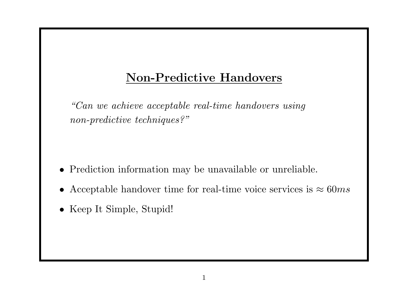## Non-Predictive Handovers

"Can we achieve acceptable real-time handovers using non-predictive techniques?"

- Prediction information may be unavailable or unreliable.
- Acceptable handover time for real-time voice services is  $\approx 60ms$
- Keep It Simple, Stupid!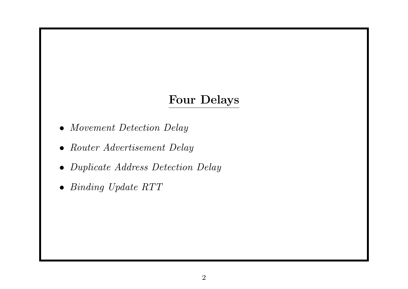#### Four Delays

- Movement Detection Delay
- Router Advertisement Delay
- Duplicate Address Detection Delay
- Binding Update RTT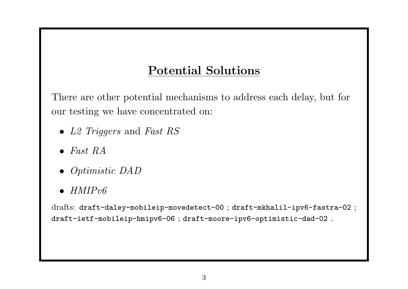### Potential Solutions

There are other potential mechanisms to address each delay, but for our testing we have concentrated on:

- L2 Triggers and Fast RS
- $\bullet$  Fast RA
- Optimistic DAD
- $HMIPv6$

drafts: draft-daley-mobileip-movedetect-00 ; draft-mkhalil-ipv6-fastra-02 ; draft-ietf-mobileip-hmipv6-06 ; draft-moore-ipv6-optimistic-dad-02 .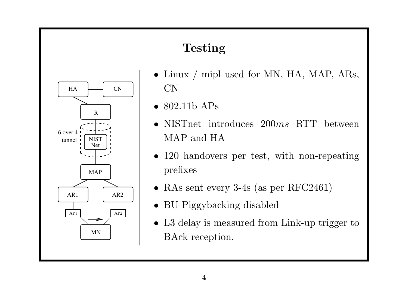# Testing



- Linux / mipl used for MN, HA, MAP, ARs, CN
- 802.11b APs
- NISTnet introduces 200ms RTT between MAP and HA
- 120 handovers per test, with non-repeating prefixes
- RAs sent every 3-4s (as per RFC2461)
- BU Piggybacking disabled
- L3 delay is measured from Link-up trigger to BAck reception.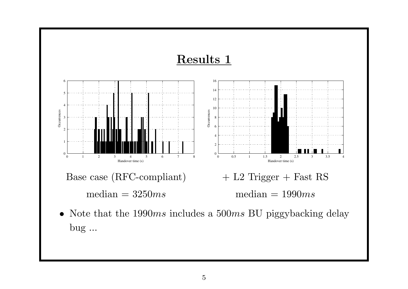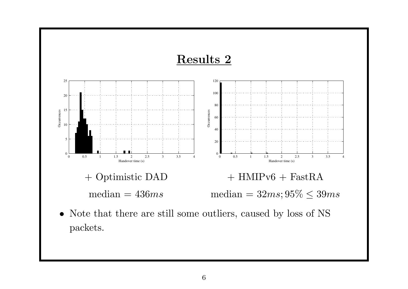